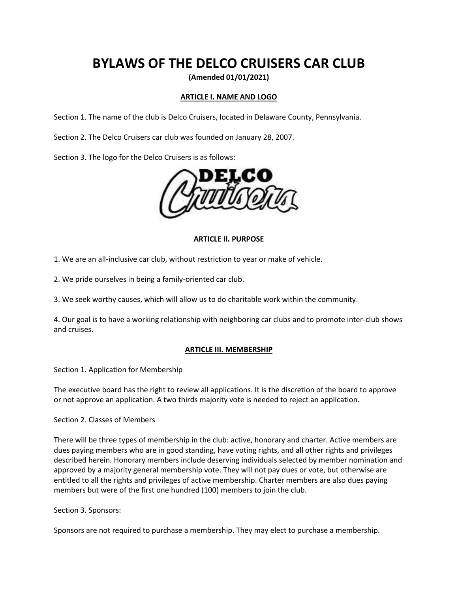# **BYLAWS OF THE DELCO CRUISERS CAR CLUB**

**(Amended 01/01/2021)**

# **ARTICLE I. NAME AND LOGO**

Section 1. The name of the club is Delco Cruisers, located in Delaware County, Pennsylvania.

Section 2. The Delco Cruisers car club was founded on January 28, 2007.

Section 3. The logo for the Delco Cruisers is as follows:



#### **ARTICLE II. PURPOSE**

1. We are an all-inclusive car club, without restriction to year or make of vehicle.

2. We pride ourselves in being a family-oriented car club.

3. We seek worthy causes, which will allow us to do charitable work within the community.

4. Our goal is to have a working relationship with neighboring car clubs and to promote inter-club shows and cruises.

#### **ARTICLE III. MEMBERSHIP**

Section 1. Application for Membership

The executive board has the right to review all applications. It is the discretion of the board to approve or not approve an application. A two thirds majority vote is needed to reject an application.

Section 2. Classes of Members

There will be three types of membership in the club: active, honorary and charter. Active members are dues paying members who are in good standing, have voting rights, and all other rights and privileges described herein. Honorary members include deserving individuals selected by member nomination and approved by a majority general membership vote. They will not pay dues or vote, but otherwise are entitled to all the rights and privileges of active membership. Charter members are also dues paying members but were of the first one hundred (100) members to join the club.

Section 3. Sponsors:

Sponsors are not required to purchase a membership. They may elect to purchase a membership.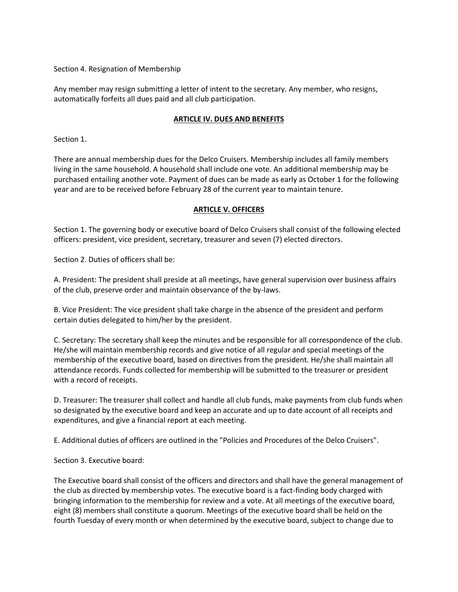Section 4. Resignation of Membership

Any member may resign submitting a letter of intent to the secretary. Any member, who resigns, automatically forfeits all dues paid and all club participation.

## **ARTICLE IV. DUES AND BENEFITS**

Section 1.

There are annual membership dues for the Delco Cruisers. Membership includes all family members living in the same household. A household shall include one vote. An additional membership may be purchased entailing another vote. Payment of dues can be made as early as October 1 for the following year and are to be received before February 28 of the current year to maintain tenure.

## **ARTICLE V. OFFICERS**

Section 1. The governing body or executive board of Delco Cruisers shall consist of the following elected officers: president, vice president, secretary, treasurer and seven (7) elected directors.

Section 2. Duties of officers shall be:

A. President: The president shall preside at all meetings, have general supervision over business affairs of the club, preserve order and maintain observance of the by-laws.

B. Vice President: The vice president shall take charge in the absence of the president and perform certain duties delegated to him/her by the president.

C. Secretary: The secretary shall keep the minutes and be responsible for all correspondence of the club. He/she will maintain membership records and give notice of all regular and special meetings of the membership of the executive board, based on directives from the president. He/she shall maintain all attendance records. Funds collected for membership will be submitted to the treasurer or president with a record of receipts.

D. Treasurer: The treasurer shall collect and handle all club funds, make payments from club funds when so designated by the executive board and keep an accurate and up to date account of all receipts and expenditures, and give a financial report at each meeting.

E. Additional duties of officers are outlined in the "Policies and Procedures of the Delco Cruisers".

Section 3. Executive board:

The Executive board shall consist of the officers and directors and shall have the general management of the club as directed by membership votes. The executive board is a fact-finding body charged with bringing information to the membership for review and a vote. At all meetings of the executive board, eight (8) members shall constitute a quorum. Meetings of the executive board shall be held on the fourth Tuesday of every month or when determined by the executive board, subject to change due to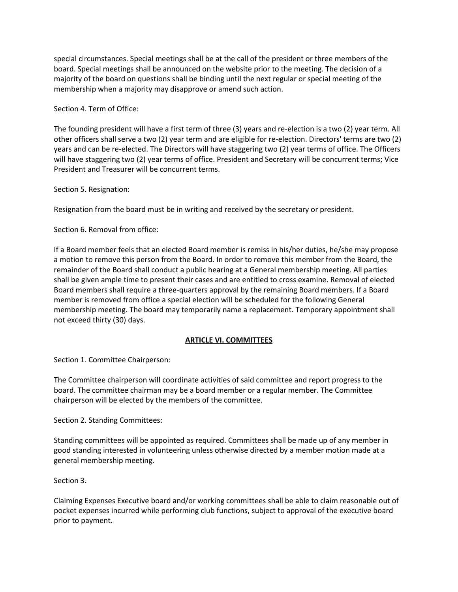special circumstances. Special meetings shall be at the call of the president or three members of the board. Special meetings shall be announced on the website prior to the meeting. The decision of a majority of the board on questions shall be binding until the next regular or special meeting of the membership when a majority may disapprove or amend such action.

Section 4. Term of Office:

The founding president will have a first term of three (3) years and re-election is a two (2) year term. All other officers shall serve a two (2) year term and are eligible for re-election. Directors' terms are two (2) years and can be re-elected. The Directors will have staggering two (2) year terms of office. The Officers will have staggering two (2) year terms of office. President and Secretary will be concurrent terms; Vice President and Treasurer will be concurrent terms.

Section 5. Resignation:

Resignation from the board must be in writing and received by the secretary or president.

Section 6. Removal from office:

If a Board member feels that an elected Board member is remiss in his/her duties, he/she may propose a motion to remove this person from the Board. In order to remove this member from the Board, the remainder of the Board shall conduct a public hearing at a General membership meeting. All parties shall be given ample time to present their cases and are entitled to cross examine. Removal of elected Board members shall require a three-quarters approval by the remaining Board members. If a Board member is removed from office a special election will be scheduled for the following General membership meeting. The board may temporarily name a replacement. Temporary appointment shall not exceed thirty (30) days.

# **ARTICLE VI. COMMITTEES**

Section 1. Committee Chairperson:

The Committee chairperson will coordinate activities of said committee and report progress to the board. The committee chairman may be a board member or a regular member. The Committee chairperson will be elected by the members of the committee.

Section 2. Standing Committees:

Standing committees will be appointed as required. Committees shall be made up of any member in good standing interested in volunteering unless otherwise directed by a member motion made at a general membership meeting.

Section 3.

Claiming Expenses Executive board and/or working committees shall be able to claim reasonable out of pocket expenses incurred while performing club functions, subject to approval of the executive board prior to payment.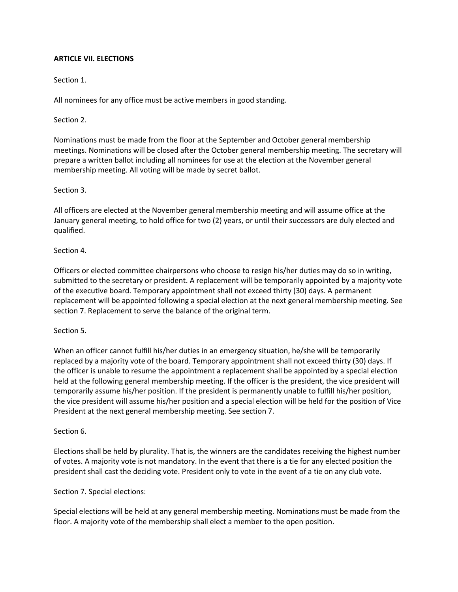### **ARTICLE VII. ELECTIONS**

Section 1.

All nominees for any office must be active members in good standing.

Section 2.

Nominations must be made from the floor at the September and October general membership meetings. Nominations will be closed after the October general membership meeting. The secretary will prepare a written ballot including all nominees for use at the election at the November general membership meeting. All voting will be made by secret ballot.

#### Section 3.

All officers are elected at the November general membership meeting and will assume office at the January general meeting, to hold office for two (2) years, or until their successors are duly elected and qualified.

Section 4.

Officers or elected committee chairpersons who choose to resign his/her duties may do so in writing, submitted to the secretary or president. A replacement will be temporarily appointed by a majority vote of the executive board. Temporary appointment shall not exceed thirty (30) days. A permanent replacement will be appointed following a special election at the next general membership meeting. See section 7. Replacement to serve the balance of the original term.

Section 5.

When an officer cannot fulfill his/her duties in an emergency situation, he/she will be temporarily replaced by a majority vote of the board. Temporary appointment shall not exceed thirty (30) days. If the officer is unable to resume the appointment a replacement shall be appointed by a special election held at the following general membership meeting. If the officer is the president, the vice president will temporarily assume his/her position. If the president is permanently unable to fulfill his/her position, the vice president will assume his/her position and a special election will be held for the position of Vice President at the next general membership meeting. See section 7.

#### Section 6.

Elections shall be held by plurality. That is, the winners are the candidates receiving the highest number of votes. A majority vote is not mandatory. In the event that there is a tie for any elected position the president shall cast the deciding vote. President only to vote in the event of a tie on any club vote.

Section 7. Special elections:

Special elections will be held at any general membership meeting. Nominations must be made from the floor. A majority vote of the membership shall elect a member to the open position.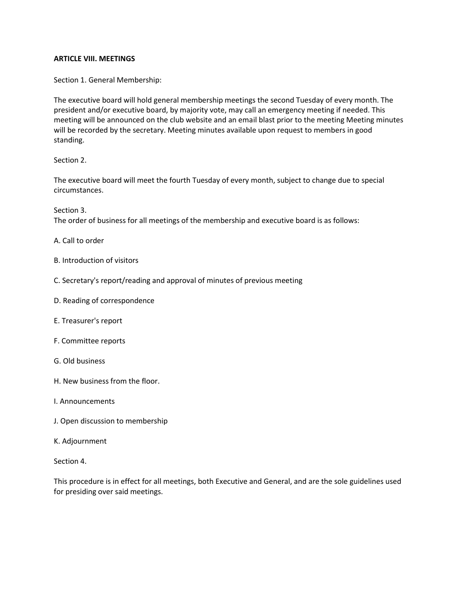#### **ARTICLE VIII. MEETINGS**

Section 1. General Membership:

The executive board will hold general membership meetings the second Tuesday of every month. The president and/or executive board, by majority vote, may call an emergency meeting if needed. This meeting will be announced on the club website and an email blast prior to the meeting Meeting minutes will be recorded by the secretary. Meeting minutes available upon request to members in good standing.

Section 2.

The executive board will meet the fourth Tuesday of every month, subject to change due to special circumstances.

Section 3. The order of business for all meetings of the membership and executive board is as follows:

A. Call to order

- B. Introduction of visitors
- C. Secretary's report/reading and approval of minutes of previous meeting
- D. Reading of correspondence
- E. Treasurer's report
- F. Committee reports
- G. Old business
- H. New business from the floor.
- I. Announcements
- J. Open discussion to membership
- K. Adjournment

Section 4.

This procedure is in effect for all meetings, both Executive and General, and are the sole guidelines used for presiding over said meetings.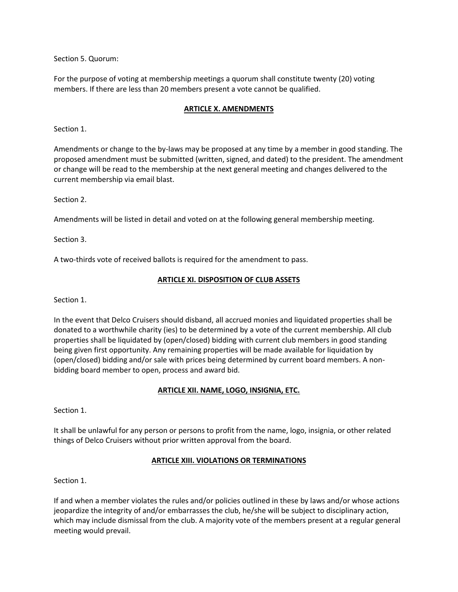Section 5. Quorum:

For the purpose of voting at membership meetings a quorum shall constitute twenty (20) voting members. If there are less than 20 members present a vote cannot be qualified.

## **ARTICLE X. AMENDMENTS**

Section 1.

Amendments or change to the by-laws may be proposed at any time by a member in good standing. The proposed amendment must be submitted (written, signed, and dated) to the president. The amendment or change will be read to the membership at the next general meeting and changes delivered to the current membership via email blast.

Section 2.

Amendments will be listed in detail and voted on at the following general membership meeting.

Section 3.

A two-thirds vote of received ballots is required for the amendment to pass.

#### **ARTICLE XI. DISPOSITION OF CLUB ASSETS**

Section 1.

In the event that Delco Cruisers should disband, all accrued monies and liquidated properties shall be donated to a worthwhile charity (ies) to be determined by a vote of the current membership. All club properties shall be liquidated by (open/closed) bidding with current club members in good standing being given first opportunity. Any remaining properties will be made available for liquidation by (open/closed) bidding and/or sale with prices being determined by current board members. A nonbidding board member to open, process and award bid.

# **ARTICLE XII. NAME, LOGO, INSIGNIA, ETC.**

Section 1.

It shall be unlawful for any person or persons to profit from the name, logo, insignia, or other related things of Delco Cruisers without prior written approval from the board.

#### **ARTICLE XIII. VIOLATIONS OR TERMINATIONS**

Section 1.

If and when a member violates the rules and/or policies outlined in these by laws and/or whose actions jeopardize the integrity of and/or embarrasses the club, he/she will be subject to disciplinary action, which may include dismissal from the club. A majority vote of the members present at a regular general meeting would prevail.